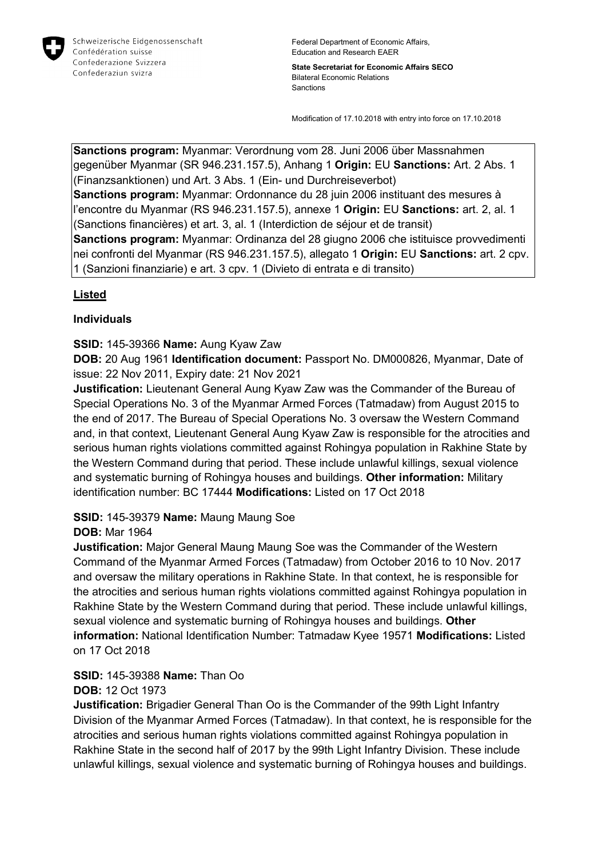

**State Secretariat for Economic Affairs SECO** Bilateral Economic Relations Sanctions

Modification of 17.10.2018 with entry into force on 17.10.2018

**Sanctions program:** Myanmar: Verordnung vom 28. Juni 2006 über Massnahmen gegenüber Myanmar (SR 946.231.157.5), Anhang 1 **Origin:** EU **Sanctions:** Art. 2 Abs. 1 (Finanzsanktionen) und Art. 3 Abs. 1 (Ein- und Durchreiseverbot) **Sanctions program:** Myanmar: Ordonnance du 28 juin 2006 instituant des mesures à l'encontre du Myanmar (RS 946.231.157.5), annexe 1 **Origin:** EU **Sanctions:** art. 2, al. 1 (Sanctions financières) et art. 3, al. 1 (Interdiction de séjour et de transit) **Sanctions program:** Myanmar: Ordinanza del 28 giugno 2006 che istituisce provvedimenti nei confronti del Myanmar (RS 946.231.157.5), allegato 1 **Origin:** EU **Sanctions:** art. 2 cpv. 1 (Sanzioni finanziarie) e art. 3 cpv. 1 (Divieto di entrata e di transito)

## **Listed**

## **Individuals**

**SSID:** 145-39366 **Name:** Aung Kyaw Zaw

**DOB:** 20 Aug 1961 **Identification document:** Passport No. DM000826, Myanmar, Date of issue: 22 Nov 2011, Expiry date: 21 Nov 2021

**Justification:** Lieutenant General Aung Kyaw Zaw was the Commander of the Bureau of Special Operations No. 3 of the Myanmar Armed Forces (Tatmadaw) from August 2015 to the end of 2017. The Bureau of Special Operations No. 3 oversaw the Western Command and, in that context, Lieutenant General Aung Kyaw Zaw is responsible for the atrocities and serious human rights violations committed against Rohingya population in Rakhine State by the Western Command during that period. These include unlawful killings, sexual violence and systematic burning of Rohingya houses and buildings. **Other information:** Military identification number: BC 17444 **Modifications:** Listed on 17 Oct 2018

# **SSID:** 145-39379 **Name:** Maung Maung Soe

# **DOB:** Mar 1964

**Justification:** Major General Maung Maung Soe was the Commander of the Western Command of the Myanmar Armed Forces (Tatmadaw) from October 2016 to 10 Nov. 2017 and oversaw the military operations in Rakhine State. In that context, he is responsible for the atrocities and serious human rights violations committed against Rohingya population in Rakhine State by the Western Command during that period. These include unlawful killings, sexual violence and systematic burning of Rohingya houses and buildings. **Other information:** National Identification Number: Tatmadaw Kyee 19571 **Modifications:** Listed on 17 Oct 2018

**SSID:** 145-39388 **Name:** Than Oo **DOB:** 12 Oct 1973

**Justification:** Brigadier General Than Oo is the Commander of the 99th Light Infantry Division of the Myanmar Armed Forces (Tatmadaw). In that context, he is responsible for the atrocities and serious human rights violations committed against Rohingya population in Rakhine State in the second half of 2017 by the 99th Light Infantry Division. These include unlawful killings, sexual violence and systematic burning of Rohingya houses and buildings.